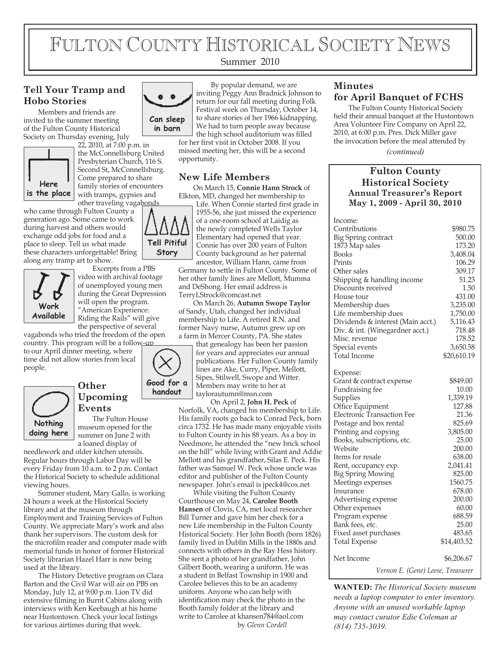# FULTON COUNTY HISTORICAL SOCIETY NEWS

#### Summer 2010

## **Tell Your Tramp and Hobo Stories**

Members and friends are invited to the summer meeting of the Fulton County Historical Society on Thursday evening, July



22, 2010, at 7:00 p.m. in the McConnellsburg United Presbyterian Church, 116 S. Second St, McConnellsburg. Come prepared to share family stories of encounters with tramps, gypsies and other traveling vagabonds

who came through Fulton County a generation ago. Some came to work during harvest and others would exchange odd jobs for food and a place to sleep. Tell us what made these characters unforgettable! Bring along any tramp art to show.



Excerpts from a PBS video with archival footage of unemployed young men during the Great Depression will open the program. "American Experience: Riding the Rails" will give the perspective of several

vagabonds who tried the freedom of the open country. This program will be a follow-up

to our April dinner meeting, where time did not allow stories from local people.



#### **Other Upcoming Events**

The Fulton House museum opened for the summer on June 2 with a loaned display of

needlework and older kitchen utensils. Regular hours through Labor Day will be every Friday from 10 a.m. to 2 p.m. Contact the Historical Society to schedule additional viewing hours.

Summer student, Mary Gallo, is working 24 hours a week at the Historical Society library and at the museum through Employment and Training Services of Fulton County. We appreciate Mary's work and also thank her supervisors. The custom desk for the microfilm reader and computer made with memorial funds in honor of former Historical Society librarian Hazel Harr is now being used at the library.

The History Detective program on Clara Barton and the Civil War will air on PBS on Monday, July 12, at 9:00 p.m. Lion TV did extensive filming in Burnt Cabins along with interviews with Ken Keebaugh at his home near Hustontown. Check your local listings for various airtimes during that week.



By popular demand, we are inviting Peggy Ann Bradnick Johnson to return for our fall meeting during Folk Festival week on Thursday, October 14, to share stories of her 1966 kidnapping. We had to turn people away because the high school auditorium was filled

for her first visit in October 2008. If you missed meeting her, this will be a second opportunity.

### **New Life Members**

On March 15, **Connie Hann Strock** of Elkton, MD, changed her membership to



Life. When Connie started first grade in 1955-56, she just missed the experience of a one-room school at Laidig as the newly completed Wells Taylor Elementary had opened that year. Connie has over 200 years of Fulton County background as her paternal ancestor, William Hann, came from

Germany to settle in Fulton County. Some of her other family lines are Mellott, Mumma and DeShong. Her email address is TerryLStrock@comcast.net

On March 26, **Autumn Swope Taylor** of Sandy, Utah, changed her individual membership to Life. A retired R.N. and former Navy nurse, Autumn grew up on a farm in Mercer County, PA. She states that genealogy has been her passion



for years and appreciates our annual publications. Her Fulton County family lines are Ake, Curry, Piper, Mellott, Sipes, Stilwell, Swope and Witter. Members may write to her at taylorautumn@msn.com On April 2, **John H. Peck** of

Norfolk, VA, changed his membership to Life. His family roots go back to Conrad Peck, born circa 1732. He has made many enjoyable visits to Fulton County in his 88 years. As a boy in Needmore, he attended the "new brick school on the hill" while living with Grant and Addie Mellott and his grandfather, Silas E. Peck. His father was Samuel W. Peck whose uncle was editor and publisher of the Fulton County newspaper. John's email is jpeck4@cox.net

While visiting the Fulton County Courthouse on May 24, **Carolee Booth Hansen** of Clovis, CA, met local researcher Bill Turner and gave him her check for a new Life membership in the Fulton County Historical Society. Her John Booth (born 1826) family lived in Dublin Mills in the 1880s and connects with others in the Ray Hess history. She sent a photo of her grandfather, John Gilbert Booth, wearing a uniform. He was a student in Belfast Township in 1900 and Carolee believes this to be an academy uniform. Anyone who can help with identification may check the photo in the Booth family folder at the library and write to Carolee at khansen784@aol.com by *Glenn Cordell*

### **Minutes for April Banquet of FCHS**

The Fulton County Historical Society held their annual banquet at the Hustontown Area Volunteer Fire Company on April 22, 2010, at 6:00 p.m. Pres. Dick Miller gave the invocation before the meal attended by

*(continued)*

### **Fulton County Historical Society Annual Treasurer's Report May 1, 2009 - April 30, 2010**

| Income:                           |             |
|-----------------------------------|-------------|
| Contributions                     | \$980.75    |
| Big Spring contract               | 500.00      |
| 1873 Map sales                    | 173.20      |
| <b>Books</b>                      | 3,408.04    |
| Prints                            | 106.29      |
| Other sales                       | 309.17      |
| Shipping & handling income        | 51.23       |
| Discounts received                | 1.50        |
| House tour                        | 431.00      |
| Membership dues                   | 3,235.00    |
| Life membership dues              | 1,750.00    |
| Dividends & interest (Main acct.) | 5,116.43    |
| Div. & int. (Winegardner acct.)   | 718.48      |
| Misc. revenue                     | 178.52      |
| Special events                    | 3,650.58    |
| Total Income                      | \$20,610.19 |
| Expense:                          |             |
| Grant & contract expense          | \$849.00    |
| Fundraising fee                   | 10.00       |
| Supplies                          | 1,339.19    |
| Office Equipment                  | 127.88      |
| <b>Electronic Transaction Fee</b> | 21.36       |
| Postage and box rental            | 825.69      |
| Printing and copying              | 3,805.00    |
| Books, subscriptions, etc.        | 25.00       |
| Website                           | 200.00      |
| Items for resale                  | 638.00      |
| Rent, occupancy exp.              | 2,041.41    |
| <b>Big Spring Mowing</b>          | 825.00      |
| Meetings expenses                 | 1560.75     |
| Insurance                         | 678.00      |
| Advertising expense               | 200.00      |
| Other expenses                    | 60.00       |
| Program expense                   | 688.59      |
| Bank fees, etc.                   | 25.00       |
| Fixed asset purchases             | 483.65      |
| <b>Total Expense</b>              | \$14,403.52 |
| Net Income                        | \$6,206.67  |
| Vernon E. (Gene) Leese, Treasurer |             |

**WANTED:** *The Historical Society museum needs a laptop computer to enter inventory. Anyone with an unused workable laptop may contact curator Edie Coleman at (814) 735-3039.*